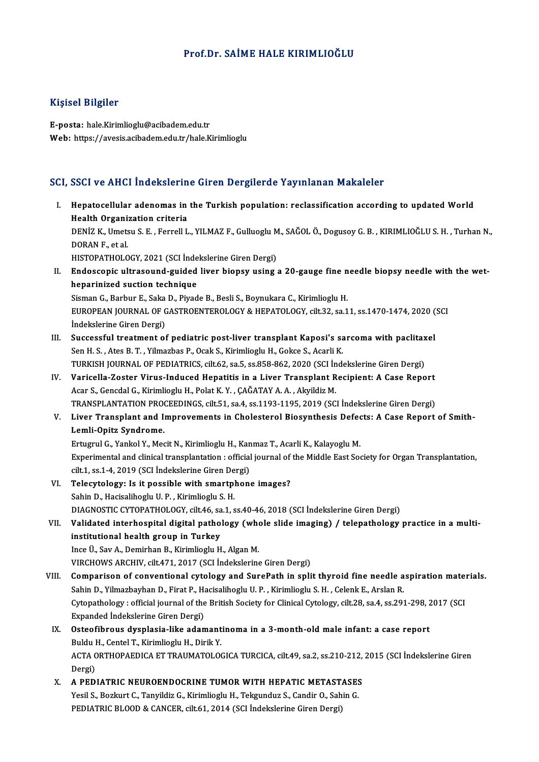### Prof.Dr. SAİME HALE KIRIMLIOĞLU

### Kişisel Bilgiler

E-posta: hale.Kirimlioglu@acibadem.edu.tr Web: https://avesis.acibadem.edu.tr/hale.Kirimlioglu

### SCI, SSCI ve AHCI İndekslerine Giren Dergilerde Yayınlanan Makaleler

CI, SSCI ve AHCI İndekslerine Giren Dergilerde Yayınlanan Makaleler<br>I. Hepatocellular adenomas in the Turkish population: reclassification according to updated World<br>Heelth Organization criteria Hepatocellular adenomas in<br>Health Organization criteria<br>DENIZ K. Umetau S. E. Forroll I Hepatocellular adenomas in the Turkish population: reclassification according to updated World<br>Health Organization criteria<br>DENİZ K., Umetsu S. E. , Ferrell L., YILMAZ F., Gulluoglu M., SAĞOL Ö., Dogusoy G. B. , KIRIMLIOĞL Health Organi:<br>DENİZ K., Umets<br>DORAN F., et al.<br>HISTORATHOLO DENİZ K., Umetsu S. E. , Ferrell L., YILMAZ F., Gulluoglu M<br>DORAN F., et al.<br>HISTOPATHOLOGY, 2021 (SCI İndekslerine Giren Dergi)<br>Endessenis ultrasound suided liver bionsu usins DORAN F., et al.<br>HISTOPATHOLOGY, 2021 (SCI İndekslerine Giren Dergi)<br>II. Endoscopic ultrasound-guided liver biopsy using a 20-gauge fine needle biopsy needle with the wet-<br>hanarinized quation tochnique HISTOPATHOLOGY, 2021 (SCI İnde<br>Endoscopic ultrasound-guided<br>heparinized suction technique<br>Sigman C. Barbur E. Saka D. Biyad Endoscopic ultrasound-guided liver biopsy using a 20-gauge fine n<br>heparinized suction technique<br>Sisman G., Barbur E., Saka D., Piyade B., Besli S., Boynukara C., Kirimlioglu H.<br>FUROPEAN JOURNAL OF CASTROFNTEROLOGY & HERATO heparinized suction technique<br>Sisman G., Barbur E., Saka D., Piyade B., Besli S., Boynukara C., Kirimlioglu H.<br>EUROPEAN JOURNAL OF GASTROENTEROLOGY & HEPATOLOGY, cilt.32, sa.11, ss.1470-1474, 2020 (SCI Sisman G., Barbur E., Saka<br>EUROPEAN JOURNAL OF C<br>İndekslerine Giren Dergi)<br>Sussessful treatment of EUROPEAN JOURNAL OF GASTROENTEROLOGY & HEPATOLOGY, cilt.32, sa.11, ss.1470-1474, 2020 (<br>Indekslerine Giren Dergi)<br>III. Successful treatment of pediatric post-liver transplant Kaposi's sarcoma with paclitaxel<br>Son H.S., Atas Indekslerine Giren Dergi)<br>III. Successful treatment of pediatric post-liver transplant Kaposi's sarcoma with paclitaxel<br>Sen H. S. , Ates B. T. , Yilmazbas P., Ocak S., Kirimlioglu H., Gokce S., Acarli K. Successful treatment of pediatric post-liver transplant Kaposi's sarcoma with paclitax<br>Sen H. S. , Ates B. T. , Yilmazbas P., Ocak S., Kirimlioglu H., Gokce S., Acarli K.<br>TURKISH JOURNAL OF PEDIATRICS, cilt.62, sa.5, ss.85 Sen H. S., Ates B. T., Yilmazbas P., Ocak S., Kirimlioglu H., Gokce S., Acarli K.<br>TURKISH JOURNAL OF PEDIATRICS, cilt.62, sa.5, ss.858-862, 2020 (SCI Indekslerine Giren Dergi)<br>IV. Varicella-Zoster Virus-Induced Hepatitis i TURKISH JOURNAL OF PEDIATRICS, cilt.62, sa.5, ss.858-862, 2020 (SCI İn<br>Varicella-Zoster Virus-Induced Hepatitis in a Liver Transplant R<br>Acar S., Gencdal G., Kirimlioglu H., Polat K. Y. , ÇAĞATAY A. A. , Akyildiz M.<br>TRANSPL IV. Varicella-Zoster Virus-Induced Hepatitis in a Liver Transplant Recipient: A Case Report<br>Acar S., Gencdal G., Kirimlioglu H., Polat K. Y. , ÇAĞATAY A. A. , Akyildiz M.<br>TRANSPLANTATION PROCEEDINGS, cilt.51, sa.4, ss.1193 Acar S., Gencdal G., Kirimlioglu H., Polat K. Y. , ÇAĞATAY A. A. , Akyildiz M.<br>TRANSPLANTATION PROCEEDINGS, cilt.51, sa.4, ss.1193-1195, 2019 (SCI İndekslerine Giren Dergi)<br>V. Liver Transplant and Improvements in Chole Lemli-Opitz Syndrome.<br>Ertugrul G., Yankol Y., Mecit N., Kirimlioglu H., Kanmaz T., Acarli K., Kalayoglu M. Liver Transplant and Improvements in Cholesterol Biosynthesis DefectorulG.<br>Lemli-Opitz Syndrome.<br>Ertugrul G., Yankol Y., Mecit N., Kirimlioglu H., Kanmaz T., Acarli K., Kalayoglu M.<br>Experimental and clinical transplantatio Experimental and clinical transplantation: official journal of the Middle East Society for Organ Transplantation, Ertugrul G., Yankol Y., Mecit N., Kirimlioglu H., Kan<br>Experimental and clinical transplantation : official<br>cilt.1, ss.1-4, 2019 (SCI İndekslerine Giren Dergi)<br>Telegutelegu: Is.it possible with smartphens VI. Telecytology: Is it possible with smartphone images?<br>Sahin D., Hacisalihoglu U.P., Kirimlioglu S.H. cilt.1, ss.1-4, 2019 (SCI İndekslerine Giren De<br>Telecytology: Is it possible with smartpl<br>Sahin D., Hacisalihoglu U.P., Kirimlioglu S.H.<br>DIACNOSTIC CYTODATHOLOCY, silt 46, ss.1, s Telecytology: Is it possible with smartphone images?<br>Sahin D., Hacisalihoglu U. P. , Kirimlioglu S. H.<br>DIAGNOSTIC CYTOPATHOLOGY, cilt.46, sa.1, ss.40-46, 2018 (SCI İndekslerine Giren Dergi)<br>Validated interhecatitel digital Sahin D., Hacisalihoglu U. P. , Kirimlioglu S. H.<br>DIAGNOSTIC CYTOPATHOLOGY, cilt.46, sa.1, ss.40-46, 2018 (SCI İndekslerine Giren Dergi)<br>VII. Validated interhospital digital pathology (whole slide imaging) / telepathol DIAGNOSTIC CYTOPATHOLOGY, cilt.46, sa<br>Validated interhospital digital patho<br>institutional health group in Turkey<br>Inse <sup>il Sou A</sup> Deminhan B, Kirimliegh: H Validated interhospital digital pathology (who<br>institutional health group in Turkey<br>Ince Ü., Sav A., Demirhan B., Kirimlioglu H., Algan M.<br>VIRCHOWS ARGUIV silt 471-2017 (SCL indekslering institutional health group in Turkey<br>Ince Ü., Sav A., Demirhan B., Kirimlioglu H., Algan M.<br>VIRCHOWS ARCHIV, cilt.471, 2017 (SCI İndekslerine Giren Dergi) VIII. Comparison of conventional cytology and SurePath in split thyroid fine needle aspiration materials. VIRCHOWS ARCHIV, cilt.471, 2017 (SCI İndekslerine Giren Dergi)<br>Comparison of conventional cytology and SurePath in split thyroid fine needle a<br>Sahin D., Yilmazbayhan D., Firat P., Hacisalihoglu U.P. , Kirimlioglu S. H. , C Comparison of conventional cytology and SurePath in split thyroid fine needle aspiration mate:<br>Sahin D., Yilmazbayhan D., Firat P., Hacisalihoglu U. P. , Kirimlioglu S. H. , Celenk E., Arslan R.<br>Cytopathology : official jo Sahin D., Yilmazbayhan D., Firat P., H.<br>Cytopathology : official journal of the<br>Expanded Indekslerine Giren Dergi)<br>Ostoofibrous dysplasia like adam Cytopathology : official journal of the British Society for Clinical Cytology, cilt.28, sa.4, ss.291-298, 2<br>Expanded Indekslerine Giren Dergi)<br>IX. Osteofibrous dysplasia-like adamantinoma in a 3-month-old male infant: a ca Expanded Indekslerine Giren Dergi)<br>IX. Osteofibrous dysplasia-like adamantinoma in a 3-month-old male infant: a case report Buldu H., Centel T., Kirimlioglu H., Dirik Y.

ACTA ORTHOPAEDICA ET TRAUMATOLOGICA TURCICA, cilt.49, sa.2, ss.210-212, 2015 (SCI İndekslerine Giren<br>Dergi) ACTA ORTHOPAEDICA ET TRAUMATOLOGICA TURCICA, cilt.49, sa.2, ss.210-212,<br>Dergi)<br>X. A PEDIATRIC NEUROENDOCRINE TUMOR WITH HEPATIC METASTASES<br>Vesil S. Perluyt C. Tenvildir C. Kirimliegly H. Teksundus S. Cardin O. Sebin C.

Dergi)<br>A PEDIATRIC NEUROENDOCRINE TUMOR WITH HEPATIC METASTASES<br>Yesil S., Bozkurt C., Tanyildiz G., Kirimlioglu H., Tekgunduz S., Candir O., Sahin G.<br>PEDIATRIC RLOOD & CANGER. gilt 61, 2014 (SCLIndelglerine Giren Dergi) Yesil S., Bozkurt C., Tanyildiz G., Kirimlioglu H., Tekgunduz S., Candir O., Sahin G.<br>PEDIATRIC BLOOD & CANCER, cilt.61, 2014 (SCI İndekslerine Giren Dergi)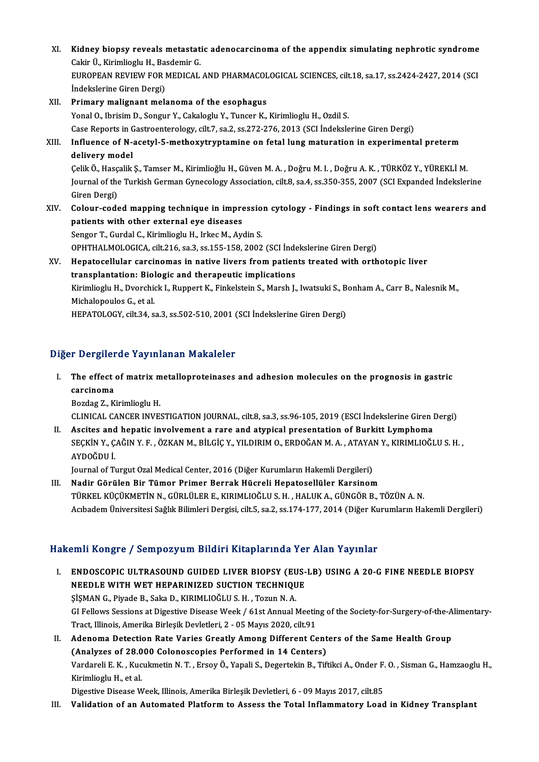XI. Kidney biopsy reveals metastatic adenocarcinoma of the appendix simulating nephrotic syndrome<br>Celin <sup>it</sup> Kinimliagh: H. Beedemin*G* Kidney biopsy reveals metastat<br>Cakir Ü., Kirimlioglu H., Basdemir G.<br>FUROPEAN PEVIEW FOR MEDICAL Kidney biopsy reveals metastatic adenocarcinoma of the appendix simulating nephrotic syndrome<br>Cakir Ü., Kirimlioglu H., Basdemir G.<br>EUROPEAN REVIEW FOR MEDICAL AND PHARMACOLOGICAL SCIENCES, cilt.18, sa.17, ss.2424-2427, 20 Cakir Ü., Kirimlioglu H., Basdemir G.<br>EUROPEAN REVIEW FOR MEDICAL AND PHARMACOLOGICAL SCIENCES, cilt.18, sa.17, ss.2424-2427, 2014 (SCI<br>İndekslerine Giren Dergi) XII. Primary malignant melanoma of the esophagus Yonal O., Ibrisim D., Songur Y., Cakaloglu Y., Tuncer K., Kirimlioglu H., Ozdil S. Primary malignant melanoma of the esophagus<br>Yonal O., Ibrisim D., Songur Y., Cakaloglu Y., Tuncer K., Kirimlioglu H., Ozdil S.<br>Case Reports in Gastroenterology, cilt.7, sa.2, ss.272-276, 2013 (SCI İndekslerine Giren Dergi) XIII. Influence of N-acetyl-5-methoxytryptamine on fetal lung maturation in experimental preterm<br>delivery model Case Reports in C<br>Influence of N-a<br>delivery model<br>Celik Ö. Hassalik ÇelikÖ.,HasçalikŞ.,TamserM.,KirimlioǧluH.,GüvenM.A. ,DoǧruM. I. ,DoǧruA.K. ,TÜRKÖZ Y.,YÜREKLİM. delivery model<br>Çelik Ö., Hasçalik Ş., Tamser M., Kirimlioğlu H., Güven M. A. , Doğru M. I. , Doğru A. K. , TÜRKÖZ Y., YÜREKLİ M.<br>Journal of the Turkish German Gynecology Association, cilt.8, sa.4, ss.350-355, 2007 (SCI Exp Çelik Ö., Hasç<br>Journal of the<br>Giren Dergi)<br>Colour sode Journal of the Turkish German Gynecology Association, cilt.8, sa.4, ss.350-355, 2007 (SCI Expanded İndekslerine<br>Giren Dergi)<br>XIV. Colour-coded mapping technique in impression cytology - Findings in soft contact lens wearer Giren Dergi)<br>XIV. Colour-coded mapping technique in impression cytology - Findings in soft contact lens wearers and<br>patients with other external eye diseases Sengor T., Gurdal C., Kirimlioglu H., Irkec M., Aydin S. OPHTHALMOLOGICA, cilt.216, sa.3, ss.155-158,2002 (SCI İndekslerineGirenDergi) Sengor T., Gurdal C., Kirimlioglu H., Irkec M., Aydin S.<br>OPHTHALMOLOGICA, cilt.216, sa.3, ss.155-158, 2002 (SCI İndekslerine Giren Dergi)<br>XV. Hepatocellular carcinomas in native livers from patients treated with orthotopic OPHTHALMOLOGICA, cilt.216, sa.3, ss.155-158, 2002 (SCI Indentiant Merchands in active livers from patient<br>transplantation: Biologic and therapeutic implications<br>kivimlicature Divershick L. Bunnert K. Einkelstein S. March L Hepatocellular carcinomas in native livers from patients treated with orthotopic liver<br>transplantation: Biologic and therapeutic implications<br>Kirimlioglu H., Dvorchick I., Ruppert K., Finkelstein S., Marsh J., Iwatsuki S., transplantation: Biol<br>Kirimlioglu H., Dvorchio<br>Michalopoulos G., et al.<br>HERATOLOCY silt 24.2 Kirimlioglu H., Dvorchick I., Ruppert K., Finkelstein S., Marsh J., Iwatsuki S., B<br>Michalopoulos G., et al.<br>HEPATOLOGY, cilt.34, sa.3, ss.502-510, 2001 (SCI İndekslerine Giren Dergi)

# HEPATOLOGY, cilt.34, sa.3, ss.502-510, 2001 (SCI İndekslerine Giren Dergi)<br>Diğer Dergilerde Yayınlanan Makaleler

Iger Dergilerde Yayınlanan Makaleler<br>I. The effect of matrix metalloproteinases and adhesion molecules on the prognosis in gastric<br>consineme The effect<br>carcinoma<br>Perdes 7 K The effect of matrix m<br>carcinoma<br>Bozdag Z., Kirimlioglu H.<br>CLINICAL CANCER INVES

carcinoma<br>Bozdag Z., Kirimlioglu H.<br>CLINICAL CANCER INVESTIGATION JOURNAL, cilt.8, sa.3, ss.96-105, 2019 (ESCI İndekslerine Giren Dergi) Bozdag Z., Kirimlioglu H.<br>CLINICAL CANCER INVESTIGATION JOURNAL, cilt.8, sa.3, ss.96-105, 2019 (ESCI Indekslerine Giren I<br>II. Ascites and hepatic involvement a rare and atypical presentation of Burkitt Lymphoma<br>SECKIN Y. C

CLINICAL CANCER INVESTIGATION JOURNAL, cilt.8, sa.3, ss.96-105, 2019 (ESCI İndekslerine Giren Dergi)<br>Ascites and hepatic involvement a rare and atypical presentation of Burkitt Lymphoma<br>SEÇKİN Y., ÇAĞIN Y. F. , ÖZKAN M., B Ascites and<br>SEÇKİN Y., Ç.<br>AYDOĞDU İ. SEÇKİN Y., ÇAĞIN Y. F. , ÖZKAN M., BİLGİÇ Y., YILDIRIM O., ERDOĞAN M. A. , ATAYA|<br>AYDOĞDU İ.<br>Journal of Turgut Ozal Medical Center, 2016 (Diğer Kurumların Hakemli Dergileri)<br>Nadir Görülen Bir Tümer Brimer Berrek Hüsreli Ha AYDOĞDU İ.<br>Iournal of Turgut Ozal Medical Center, 2016 (Diğer Kurumların Hakemli Dergileri)<br>III. Nadir Görülen Bir Tümor Primer Berrak Hücreli Hepatosellüler Karsinom

TÜRKELKÜÇÜKMETİNN.,GÜRLÜLERE.,KIRIMLIOĞLUS.H. ,HALUKA.,GÜNGÖRB.,TÖZÜNA.N. Acıbadem Üniversitesi Sağlık Bilimleri Dergisi, cilt.5, sa.2, ss.174-177, 2014 (Diğer Kurumların Hakemli Dergileri)

## Hakemli Kongre / Sempozyum Bildiri Kitaplarında Yer Alan Yayınlar

- I. ENDOSCOPIC ULTRASOUND GUIDED LIVER BIOPSY (EUS-LB) USING A 20-G FINE NEEDLE BIOPSY NEEDLE WITH WET HEPARINIZED SUCTION TECHNIQUE<br>NEEDLE WITH WET HEPARINIZED SUCTION TECHNIQUE<br>SISMAN G Birde B Sels D KIBIM IQČLUS H Tegun N A ENDOSCOPIC ULTRASOUND GUIDED LIVER BIOPSY (EU<br>NEEDLE WITH WET HEPARINIZED SUCTION TECHNIQU<br>ŞİŞMAN G., Piyade B., Saka D., KIRIMLIOĞLU S. H. , Tozun N. A.<br>CLEallows Sessions at Disestive Disease Week / 64st Annual N ŞİŞMAN G., Piyade B., Saka D., KIRIMLIOĞLU S. H. , Tozun N. A.<br>GI Fellows Sessions at Digestive Disease Week / 61st Annual Meeting of the Society-for-Surgery-of-the-Alimentary Tract, Illinois, Amerika Birleşik Devletleri, 2 - 05 Mayıs 2020, cilt.91 GI Fellows Sessions at Digestive Disease Week / 61st Annual Meeting of the Society-for-Surgery-of-the-A<br>Tract, Illinois, Amerika Birleşik Devletleri, 2 - 05 Mayıs 2020, cilt.91<br>II. Adenoma Detection Rate Varies Greatly Amo
- Tract, Illinois, Amerika Birleşik Devletleri, 2 05 Mayıs 2020, cilt.91<br>Adenoma Detection Rate Varies Greatly Among Different Cent<br>(Analyzes of 28.000 Colonoscopies Performed in 14 Centers)<br>Vardareli E.K., Kusulmetin N.T. Vardareli E. K. , Kucukmetin N. T. , Ersoy Ö., Yapali S., Degertekin B., Tiftikci A., Onder F. O. , Sisman G., Hamzaoglu H.,<br>Kirimlioglu H., et al. (Analyzes of 28.000 Colonoscopies Performed in 14 Centers)

Digestive Disease Week, Illinois, Amerika Birleşik Devletleri, 6 - 09 Mayıs 2017, cilt.85

III. Validation of an Automated Platform to Assess the Total Inflammatory Load in Kidney Transplant